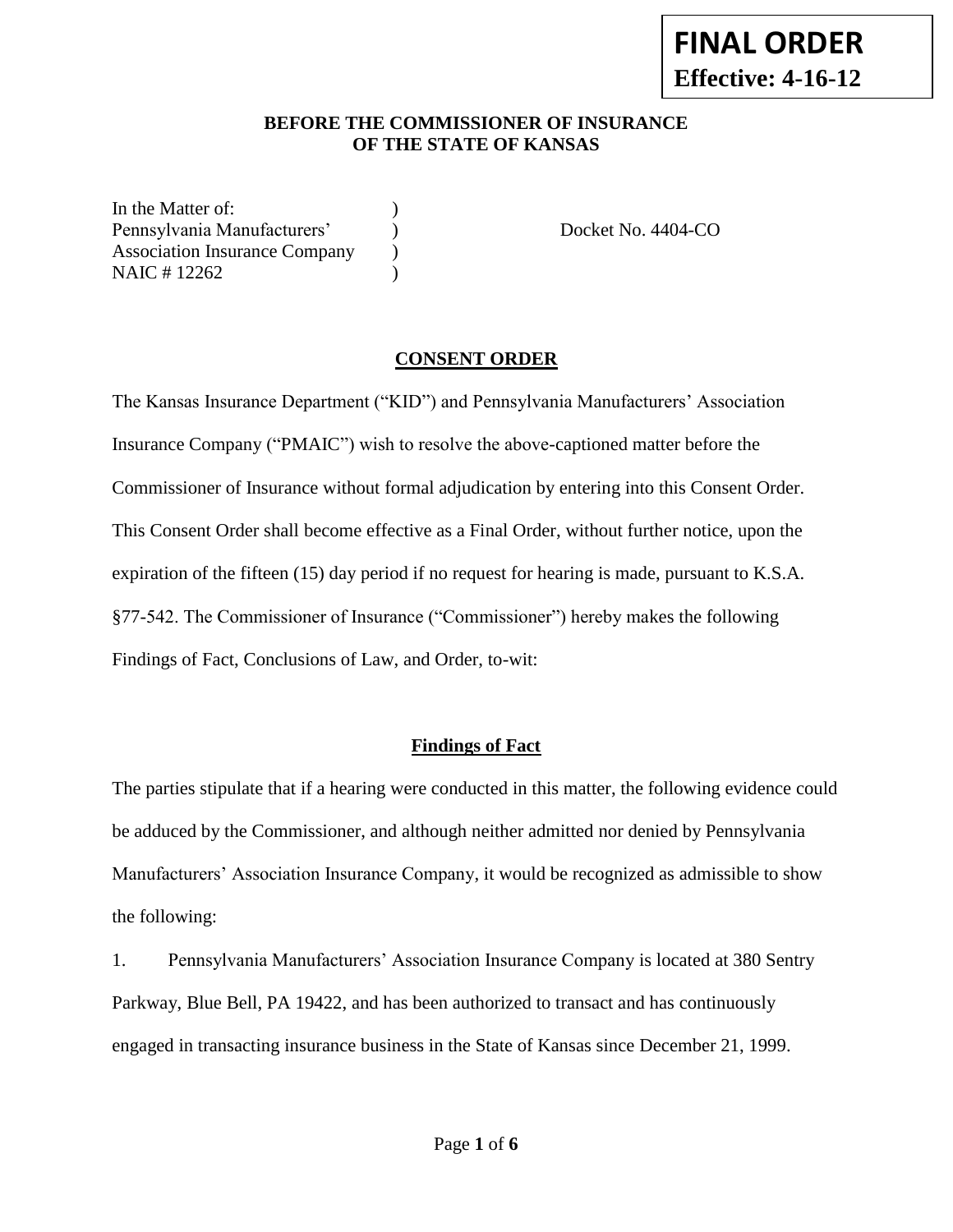#### **BEFORE THE COMMISSIONER OF INSURANCE OF THE STATE OF KANSAS**

In the Matter of: Pennsylvania Manufacturers' (a) Docket No. 4404-CO Association Insurance Company (b) NAIC # 12262 )

#### **CONSENT ORDER**

The Kansas Insurance Department ("KID") and Pennsylvania Manufacturers' Association Insurance Company ("PMAIC") wish to resolve the above-captioned matter before the Commissioner of Insurance without formal adjudication by entering into this Consent Order. This Consent Order shall become effective as a Final Order, without further notice, upon the expiration of the fifteen (15) day period if no request for hearing is made, pursuant to K.S.A. §77-542. The Commissioner of Insurance ("Commissioner") hereby makes the following Findings of Fact, Conclusions of Law, and Order, to-wit:

### **Findings of Fact**

The parties stipulate that if a hearing were conducted in this matter, the following evidence could be adduced by the Commissioner, and although neither admitted nor denied by Pennsylvania Manufacturers' Association Insurance Company, it would be recognized as admissible to show the following:

1. Pennsylvania Manufacturers' Association Insurance Company is located at 380 Sentry Parkway, Blue Bell, PA 19422, and has been authorized to transact and has continuously engaged in transacting insurance business in the State of Kansas since December 21, 1999.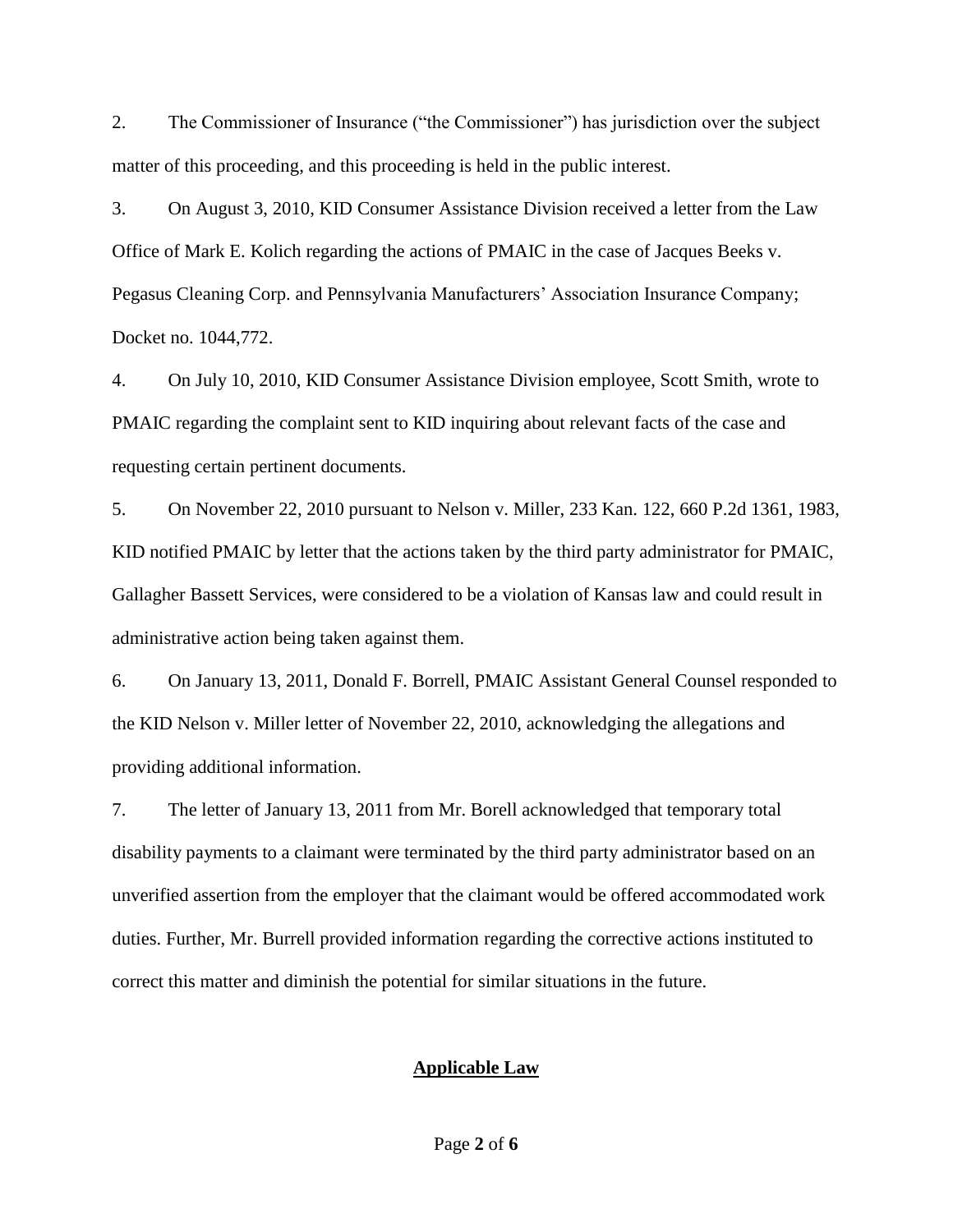2. The Commissioner of Insurance ("the Commissioner") has jurisdiction over the subject matter of this proceeding, and this proceeding is held in the public interest.

3. On August 3, 2010, KID Consumer Assistance Division received a letter from the Law Office of Mark E. Kolich regarding the actions of PMAIC in the case of Jacques Beeks v. Pegasus Cleaning Corp. and Pennsylvania Manufacturers' Association Insurance Company; Docket no. 1044,772.

4. On July 10, 2010, KID Consumer Assistance Division employee, Scott Smith, wrote to PMAIC regarding the complaint sent to KID inquiring about relevant facts of the case and requesting certain pertinent documents.

5. On November 22, 2010 pursuant to Nelson v. Miller, 233 Kan. 122, 660 P.2d 1361, 1983, KID notified PMAIC by letter that the actions taken by the third party administrator for PMAIC, Gallagher Bassett Services, were considered to be a violation of Kansas law and could result in administrative action being taken against them.

6. On January 13, 2011, Donald F. Borrell, PMAIC Assistant General Counsel responded to the KID Nelson v. Miller letter of November 22, 2010, acknowledging the allegations and providing additional information.

7. The letter of January 13, 2011 from Mr. Borell acknowledged that temporary total disability payments to a claimant were terminated by the third party administrator based on an unverified assertion from the employer that the claimant would be offered accommodated work duties. Further, Mr. Burrell provided information regarding the corrective actions instituted to correct this matter and diminish the potential for similar situations in the future.

#### **Applicable Law**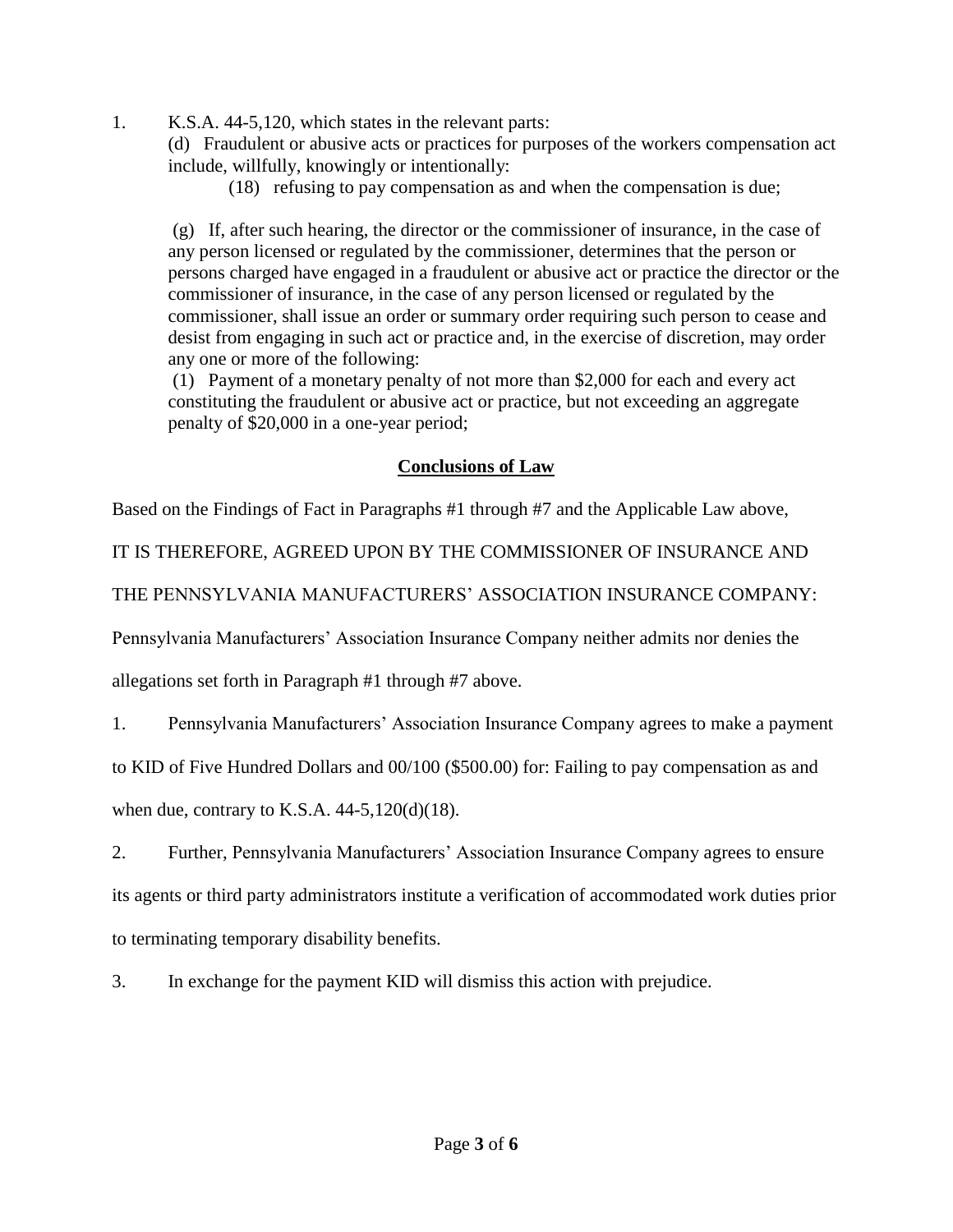1. K.S.A. 44-5,120, which states in the relevant parts:

(d) Fraudulent or abusive acts or practices for purposes of the workers compensation act include, willfully, knowingly or intentionally:

(18) refusing to pay compensation as and when the compensation is due;

(g) If, after such hearing, the director or the commissioner of insurance, in the case of any person licensed or regulated by the commissioner, determines that the person or persons charged have engaged in a fraudulent or abusive act or practice the director or the commissioner of insurance, in the case of any person licensed or regulated by the commissioner, shall issue an order or summary order requiring such person to cease and desist from engaging in such act or practice and, in the exercise of discretion, may order any one or more of the following:

(1) Payment of a monetary penalty of not more than \$2,000 for each and every act constituting the fraudulent or abusive act or practice, but not exceeding an aggregate penalty of \$20,000 in a one-year period;

### **Conclusions of Law**

Based on the Findings of Fact in Paragraphs #1 through #7 and the Applicable Law above,

IT IS THEREFORE, AGREED UPON BY THE COMMISSIONER OF INSURANCE AND

THE PENNSYLVANIA MANUFACTURERS' ASSOCIATION INSURANCE COMPANY:

Pennsylvania Manufacturers' Association Insurance Company neither admits nor denies the

allegations set forth in Paragraph #1 through #7 above.

1. Pennsylvania Manufacturers' Association Insurance Company agrees to make a payment

to KID of Five Hundred Dollars and 00/100 (\$500.00) for: Failing to pay compensation as and

when due, contrary to K.S.A.  $44-5,120(d)(18)$ .

2. Further, Pennsylvania Manufacturers' Association Insurance Company agrees to ensure its agents or third party administrators institute a verification of accommodated work duties prior to terminating temporary disability benefits.

3. In exchange for the payment KID will dismiss this action with prejudice.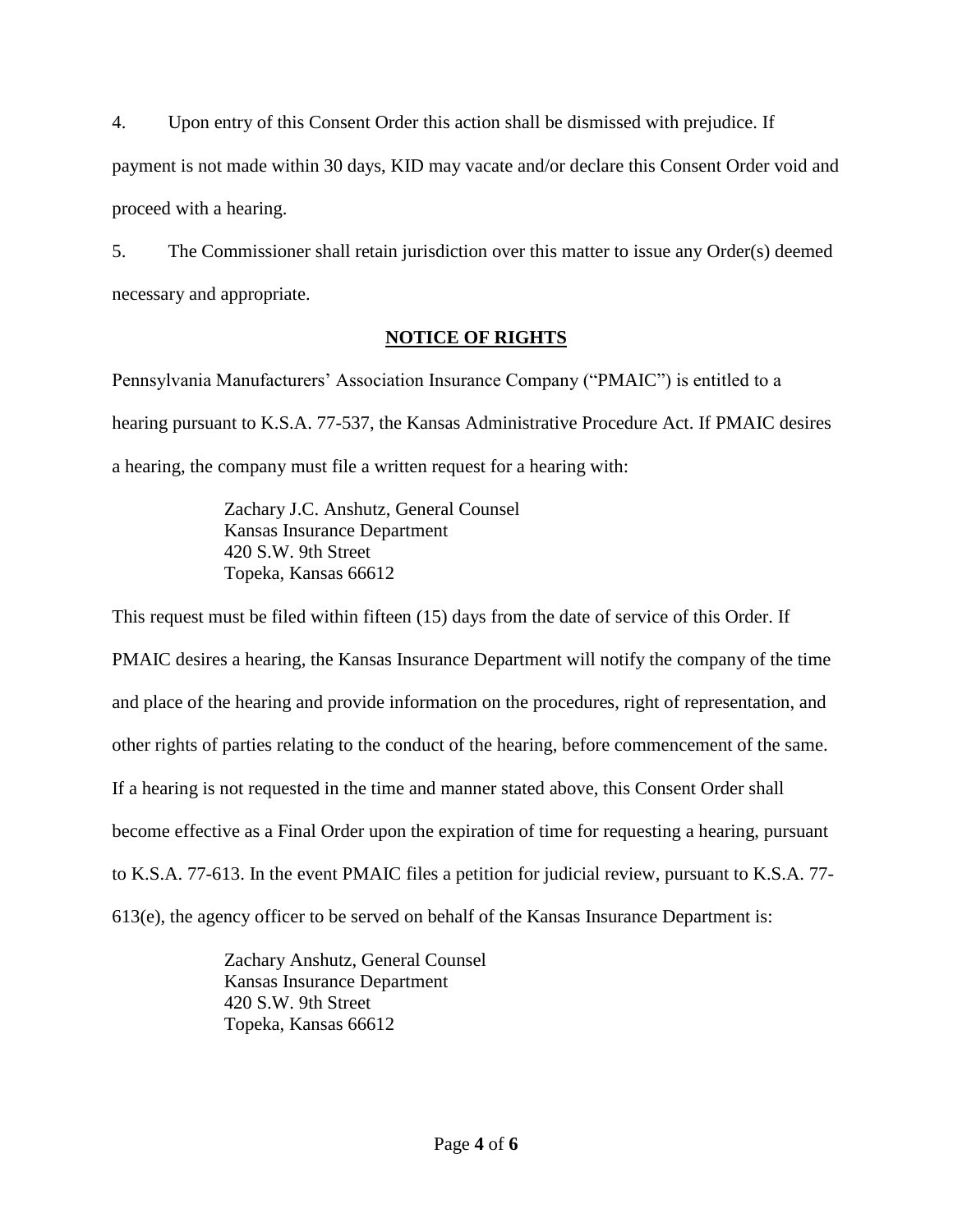4. Upon entry of this Consent Order this action shall be dismissed with prejudice. If payment is not made within 30 days, KID may vacate and/or declare this Consent Order void and proceed with a hearing.

5. The Commissioner shall retain jurisdiction over this matter to issue any Order(s) deemed necessary and appropriate.

## **NOTICE OF RIGHTS**

Pennsylvania Manufacturers' Association Insurance Company ("PMAIC") is entitled to a hearing pursuant to K.S.A. 77-537, the Kansas Administrative Procedure Act. If PMAIC desires a hearing, the company must file a written request for a hearing with:

> Zachary J.C. Anshutz, General Counsel Kansas Insurance Department 420 S.W. 9th Street Topeka, Kansas 66612

This request must be filed within fifteen (15) days from the date of service of this Order. If PMAIC desires a hearing, the Kansas Insurance Department will notify the company of the time and place of the hearing and provide information on the procedures, right of representation, and other rights of parties relating to the conduct of the hearing, before commencement of the same. If a hearing is not requested in the time and manner stated above, this Consent Order shall become effective as a Final Order upon the expiration of time for requesting a hearing, pursuant to K.S.A. 77-613. In the event PMAIC files a petition for judicial review, pursuant to K.S.A. 77- 613(e), the agency officer to be served on behalf of the Kansas Insurance Department is:

> Zachary Anshutz, General Counsel Kansas Insurance Department 420 S.W. 9th Street Topeka, Kansas 66612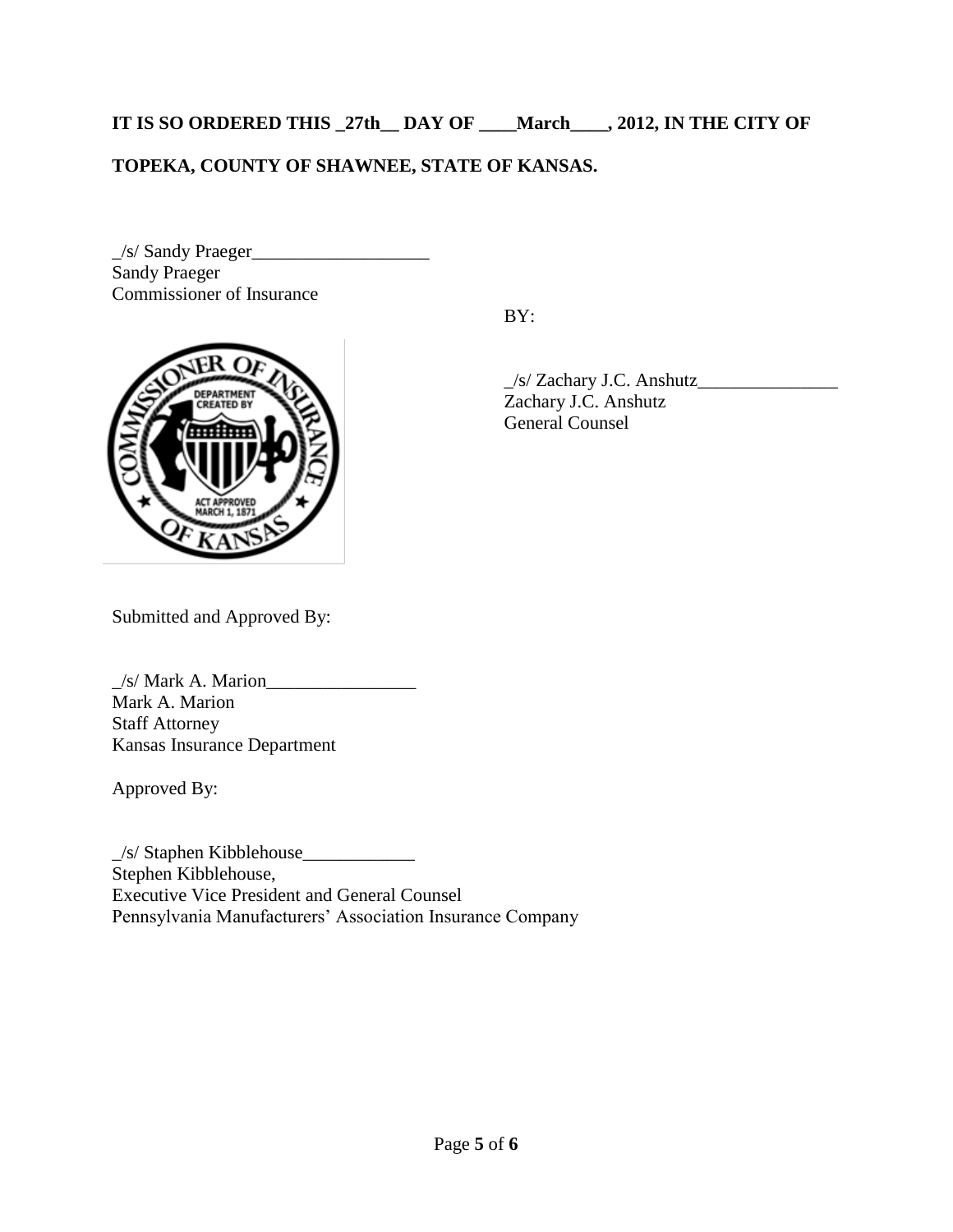**IT IS SO ORDERED THIS \_27th\_\_ DAY OF \_\_\_\_March\_\_\_\_, 2012, IN THE CITY OF** 

# **TOPEKA, COUNTY OF SHAWNEE, STATE OF KANSAS.**

\_/s/ Sandy Praeger\_\_\_\_\_\_\_\_\_\_\_\_\_\_\_\_\_\_\_ Sandy Praeger Commissioner of Insurance

BY:



\_/s/ Zachary J.C. Anshutz\_\_\_\_\_\_\_\_\_\_\_\_\_\_\_ Zachary J.C. Anshutz General Counsel

Submitted and Approved By:

 $\angle$ s/ Mark A. Marion $\angle$ Mark A. Marion Staff Attorney Kansas Insurance Department

Approved By:

\_/s/ Staphen Kibblehouse\_\_\_\_\_\_\_\_\_\_\_\_ Stephen Kibblehouse, Executive Vice President and General Counsel Pennsylvania Manufacturers' Association Insurance Company